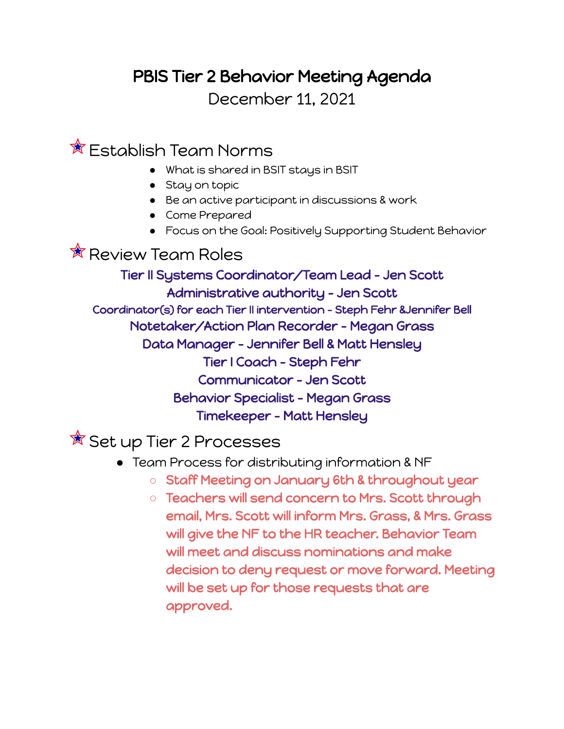## PBIS Tier 2 Behavior Meeting Agenda

December 11, 2021

 $\hat{\mathbb{X}}$  Establish Team Norms

- What is shared in BSIT stays in BSIT
- Stay on topic
- Be an active participant in discussions & work
- Come Prepared
- Focus on the Goal: Positively Supporting Student Behavior

 $\hat{\mathbb{X}}$  Review Team Roles

Tier II Systems Coordinator/Team Lead - Jen Scott Administrative authority - Jen Scott Coordinator(s) for each Tier II intervention - Steph Fehr &Jennifer Bell Notetaker/Action Plan Recorder - Megan Grass Data Manager - Jennifer Bell & Matt Hensley Tier I Coach - Steph Fehr Communicator - Jen Scott Behavior Specialist - Megan Grass Timekeeper - Matt Hensley

 $\overline{\mathbb{X}}$  Set up Tier 2 Processes

- Team Process for distributing information & NF
	- **○** Staff Meeting on January 6th & throughout year
	- **○** Teachers will send concern to Mrs. Scott through email, Mrs. Scott will inform Mrs. Grass, & Mrs. Grass will give the NF to the HR teacher. Behavior Team will meet and discuss nominations and make decision to deny request or move forward. Meeting will be set up for those requests that are approved.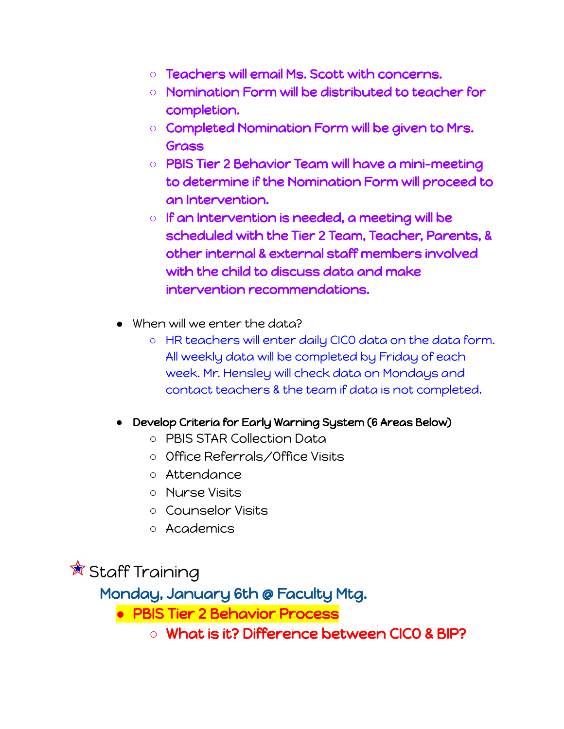- **○** Teachers will email Ms. Scott with concerns.
- **○** Nomination Form will be distributed to teacher for completion.
- **○** Completed Nomination Form will be given to Mrs. Grass
- **○** PBIS Tier 2 Behavior Team will have a mini-meeting to determine if the Nomination Form will proceed to an Intervention.
- If an Intervention is needed, a meeting will be scheduled with the Tier 2 Team, Teacher, Parents, & other internal & external staff members involved with the child to discuss data and make intervention recommendations.
- When will we enter the data?
	- HR teachers will enter daily CICO data on the data form. All weekly data will be completed by Friday of each week. Mr. Hensley will check data on Mondays and contact teachers & the team if data is not completed.
- **●** Develop Criteria for Early Warning System (6 Areas Below)
	- PBIS STAR Collection Data
	- Office Referrals/Office Visits
	- Attendance
	- Nurse Visits
	- Counselor Visits
	- Academics

 $\mathbb{\hat{R}}$  Staff Training

Monday, January 6th @ Faculty Mtg.

**●** PBIS Tier 2 Behavior Process

**○** What is it? Difference between CICO & BIP?